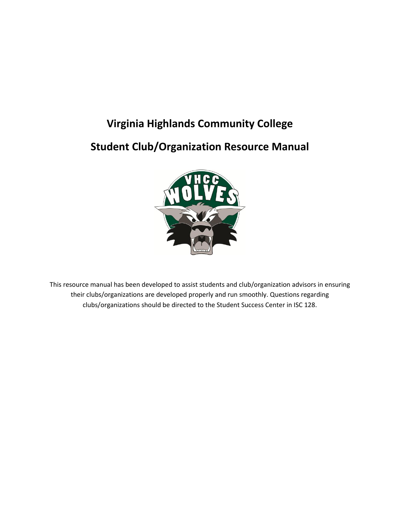# **Virginia Highlands Community College**

# **Student Club/Organization Resource Manual**



This resource manual has been developed to assist students and club/organization advisors in ensuring their clubs/organizations are developed properly and run smoothly. Questions regarding clubs/organizations should be directed to the Student Success Center in ISC 128.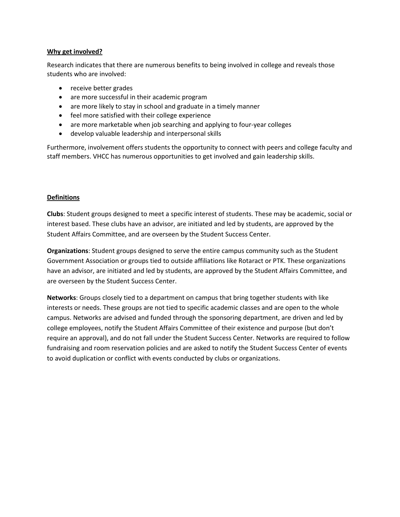#### **Why get involved?**

Research indicates that there are numerous benefits to being involved in college and reveals those students who are involved:

- receive better grades
- are more successful in their academic program
- are more likely to stay in school and graduate in a timely manner
- feel more satisfied with their college experience
- are more marketable when job searching and applying to four-year colleges
- develop valuable leadership and interpersonal skills

Furthermore, involvement offers students the opportunity to connect with peers and college faculty and staff members. VHCC has numerous opportunities to get involved and gain leadership skills.

### **Definitions**

**Clubs**: Student groups designed to meet a specific interest of students. These may be academic, social or interest based. These clubs have an advisor, are initiated and led by students, are approved by the Student Affairs Committee, and are overseen by the Student Success Center.

**Organizations**: Student groups designed to serve the entire campus community such as the Student Government Association or groups tied to outside affiliations like Rotaract or PTK. These organizations have an advisor, are initiated and led by students, are approved by the Student Affairs Committee, and are overseen by the Student Success Center.

**Networks**: Groups closely tied to a department on campus that bring together students with like interests or needs. These groups are not tied to specific academic classes and are open to the whole campus. Networks are advised and funded through the sponsoring department, are driven and led by college employees, notify the Student Affairs Committee of their existence and purpose (but don't require an approval), and do not fall under the Student Success Center. Networks are required to follow fundraising and room reservation policies and are asked to notify the Student Success Center of events to avoid duplication or conflict with events conducted by clubs or organizations.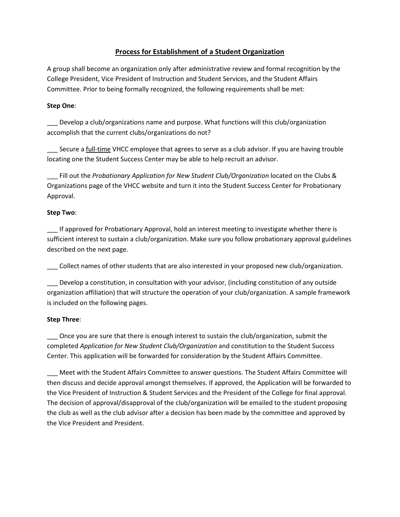# **Process for Establishment of a Student Organization**

A group shall become an organization only after administrative review and formal recognition by the College President, Vice President of Instruction and Student Services, and the Student Affairs Committee. Prior to being formally recognized, the following requirements shall be met:

## **Step One**:

Develop a club/organizations name and purpose. What functions will this club/organization accomplish that the current clubs/organizations do not?

Secure a full-time VHCC employee that agrees to serve as a club advisor. If you are having trouble locating one the Student Success Center may be able to help recruit an advisor.

\_\_\_ Fill out the *Probationary Application for New Student Club/Organization* located on the Clubs & Organizations page of the VHCC website and turn it into the Student Success Center for Probationary Approval.

## **Step Two**:

If approved for Probationary Approval, hold an interest meeting to investigate whether there is sufficient interest to sustain a club/organization. Make sure you follow probationary approval guidelines described on the next page.

Collect names of other students that are also interested in your proposed new club/organization.

\_\_\_ Develop a constitution, in consultation with your advisor, (including constitution of any outside organization affiliation) that will structure the operation of your club/organization. A sample framework is included on the following pages.

# **Step Three**:

Once you are sure that there is enough interest to sustain the club/organization, submit the completed *Application for New Student Club/Organization* and constitution to the Student Success Center. This application will be forwarded for consideration by the Student Affairs Committee.

\_\_\_ Meet with the Student Affairs Committee to answer questions. The Student Affairs Committee will then discuss and decide approval amongst themselves. If approved, the Application will be forwarded to the Vice President of Instruction & Student Services and the President of the College for final approval. The decision of approval/disapproval of the club/organization will be emailed to the student proposing the club as well as the club advisor after a decision has been made by the committee and approved by the Vice President and President.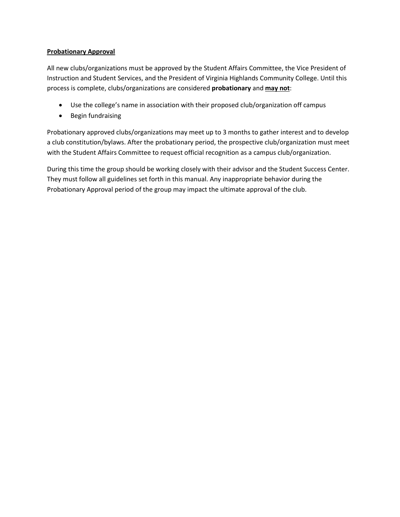## **Probationary Approval**

All new clubs/organizations must be approved by the Student Affairs Committee, the Vice President of Instruction and Student Services, and the President of Virginia Highlands Community College. Until this process is complete, clubs/organizations are considered **probationary** and **may not**:

- Use the college's name in association with their proposed club/organization off campus
- Begin fundraising

Probationary approved clubs/organizations may meet up to 3 months to gather interest and to develop a club constitution/bylaws. After the probationary period, the prospective club/organization must meet with the Student Affairs Committee to request official recognition as a campus club/organization.

During this time the group should be working closely with their advisor and the Student Success Center. They must follow all guidelines set forth in this manual. Any inappropriate behavior during the Probationary Approval period of the group may impact the ultimate approval of the club.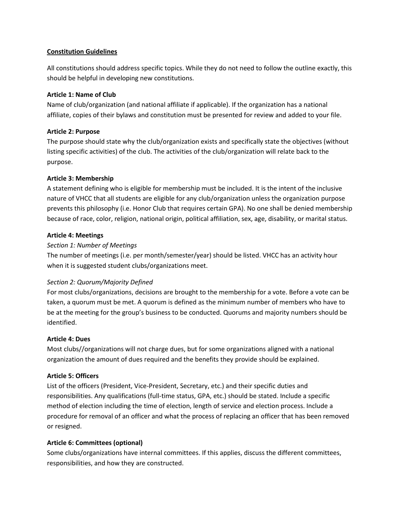## **Constitution Guidelines**

All constitutions should address specific topics. While they do not need to follow the outline exactly, this should be helpful in developing new constitutions.

## **Article 1: Name of Club**

Name of club/organization (and national affiliate if applicable). If the organization has a national affiliate, copies of their bylaws and constitution must be presented for review and added to your file.

## **Article 2: Purpose**

The purpose should state why the club/organization exists and specifically state the objectives (without listing specific activities) of the club. The activities of the club/organization will relate back to the purpose.

## **Article 3: Membership**

A statement defining who is eligible for membership must be included. It is the intent of the inclusive nature of VHCC that all students are eligible for any club/organization unless the organization purpose prevents this philosophy (i.e. Honor Club that requires certain GPA). No one shall be denied membership because of race, color, religion, national origin, political affiliation, sex, age, disability, or marital status.

## **Article 4: Meetings**

## *Section 1: Number of Meetings*

The number of meetings (i.e. per month/semester/year) should be listed. VHCC has an activity hour when it is suggested student clubs/organizations meet.

# *Section 2: Quorum/Majority Defined*

For most clubs/organizations, decisions are brought to the membership for a vote. Before a vote can be taken, a quorum must be met. A quorum is defined as the minimum number of members who have to be at the meeting for the group's business to be conducted. Quorums and majority numbers should be identified.

### **Article 4: Dues**

Most clubs//organizations will not charge dues, but for some organizations aligned with a national organization the amount of dues required and the benefits they provide should be explained.

# **Article 5: Officers**

List of the officers (President, Vice-President, Secretary, etc.) and their specific duties and responsibilities. Any qualifications (full-time status, GPA, etc.) should be stated. Include a specific method of election including the time of election, length of service and election process. Include a procedure for removal of an officer and what the process of replacing an officer that has been removed or resigned.

# **Article 6: Committees (optional)**

Some clubs/organizations have internal committees. If this applies, discuss the different committees, responsibilities, and how they are constructed.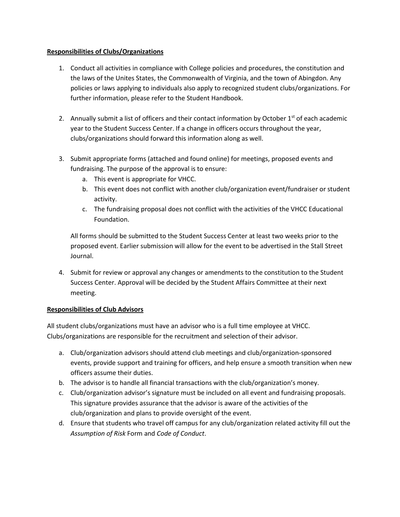## **Responsibilities of Clubs/Organizations**

- 1. Conduct all activities in compliance with College policies and procedures, the constitution and the laws of the Unites States, the Commonwealth of Virginia, and the town of Abingdon. Any policies or laws applying to individuals also apply to recognized student clubs/organizations. For further information, please refer to the Student Handbook.
- 2. Annually submit a list of officers and their contact information by October 1<sup>st</sup> of each academic year to the Student Success Center. If a change in officers occurs throughout the year, clubs/organizations should forward this information along as well.
- 3. Submit appropriate forms (attached and found online) for meetings, proposed events and fundraising. The purpose of the approval is to ensure:
	- a. This event is appropriate for VHCC.
	- b. This event does not conflict with another club/organization event/fundraiser or student activity.
	- c. The fundraising proposal does not conflict with the activities of the VHCC Educational Foundation.

All forms should be submitted to the Student Success Center at least two weeks prior to the proposed event. Earlier submission will allow for the event to be advertised in the Stall Street Journal.

4. Submit for review or approval any changes or amendments to the constitution to the Student Success Center. Approval will be decided by the Student Affairs Committee at their next meeting.

### **Responsibilities of Club Advisors**

All student clubs/organizations must have an advisor who is a full time employee at VHCC. Clubs/organizations are responsible for the recruitment and selection of their advisor.

- a. Club/organization advisors should attend club meetings and club/organization-sponsored events, provide support and training for officers, and help ensure a smooth transition when new officers assume their duties.
- b. The advisor is to handle all financial transactions with the club/organization's money.
- c. Club/organization advisor's signature must be included on all event and fundraising proposals. This signature provides assurance that the advisor is aware of the activities of the club/organization and plans to provide oversight of the event.
- d. Ensure that students who travel off campus for any club/organization related activity fill out the *Assumption of Risk* Form and *Code of Conduct*.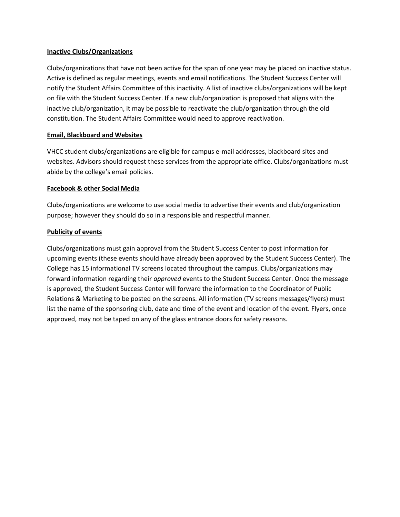### **Inactive Clubs/Organizations**

Clubs/organizations that have not been active for the span of one year may be placed on inactive status. Active is defined as regular meetings, events and email notifications. The Student Success Center will notify the Student Affairs Committee of this inactivity. A list of inactive clubs/organizations will be kept on file with the Student Success Center. If a new club/organization is proposed that aligns with the inactive club/organization, it may be possible to reactivate the club/organization through the old constitution. The Student Affairs Committee would need to approve reactivation.

### **Email, Blackboard and Websites**

VHCC student clubs/organizations are eligible for campus e-mail addresses, blackboard sites and websites. Advisors should request these services from the appropriate office. Clubs/organizations must abide by the college's email policies.

### **Facebook & other Social Media**

Clubs/organizations are welcome to use social media to advertise their events and club/organization purpose; however they should do so in a responsible and respectful manner.

### **Publicity of events**

Clubs/organizations must gain approval from the Student Success Center to post information for upcoming events (these events should have already been approved by the Student Success Center). The College has 15 informational TV screens located throughout the campus. Clubs/organizations may forward information regarding their *approved* events to the Student Success Center. Once the message is approved, the Student Success Center will forward the information to the Coordinator of Public Relations & Marketing to be posted on the screens. All information (TV screens messages/flyers) must list the name of the sponsoring club, date and time of the event and location of the event. Flyers, once approved, may not be taped on any of the glass entrance doors for safety reasons.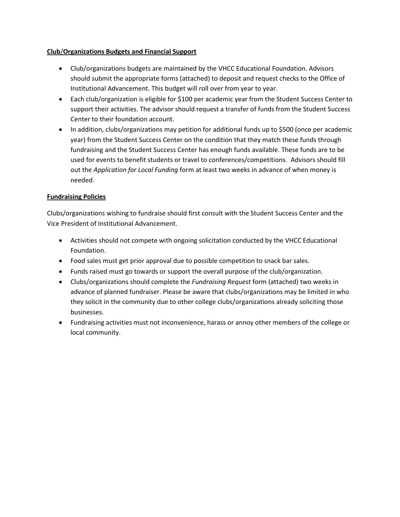## **Club**/**Organizations Budgets and Financial Support**

- Club/organizations budgets are maintained by the VHCC Educational Foundation. Advisors should submit the appropriate forms (attached) to deposit and request checks to the Office of Institutional Advancement. This budget will roll over from year to year.
- Each club/organization is eligible for \$100 per academic year from the Student Success Center to support their activities. The advisor should request a transfer of funds from the Student Success Center to their foundation account.
- In addition, clubs/organizations may petition for additional funds up to \$500 (once per academic year) from the Student Success Center on the condition that they match these funds through fundraising and the Student Success Center has enough funds available. These funds are to be used for events to benefit students or travel to conferences/competitions. Advisors should fill out the *Application for Local Funding* form at least two weeks in advance of when money is needed.

# **Fundraising Policies**

Clubs/organizations wishing to fundraise should first consult with the Student Success Center and the Vice President of Institutional Advancement.

- Activities should not compete with ongoing solicitation conducted by the VHCC Educational Foundation.
- Food sales must get prior approval due to possible competition to snack bar sales.
- Funds raised must go towards or support the overall purpose of the club/organization.
- Clubs/organizations should complete the *Fundraising Request* form (attached) two weeks in advance of planned fundraiser. Please be aware that clubs/organizations may be limited in who they solicit in the community due to other college clubs/organizations already soliciting those businesses.
- Fundraising activities must not inconvenience, harass or annoy other members of the college or local community.